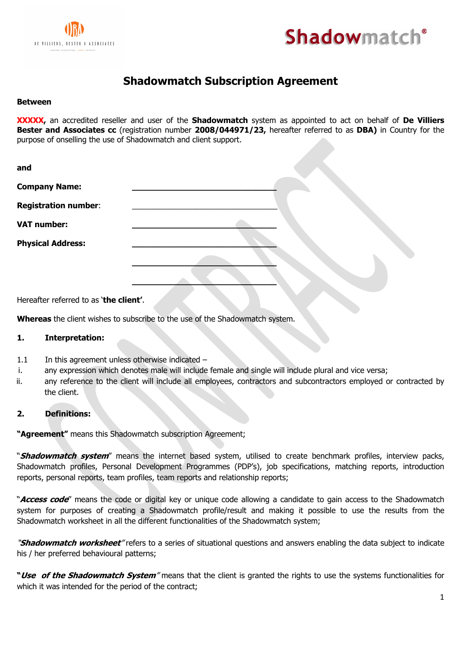



# **Shadowmatch Subscription Agreement**

#### **Between**

**XXXXX,** an accredited reseller and user of the **Shadowmatch** system as appointed to act on behalf of **De Villiers Bester and Associates cc** (registration number **2008/044971/23,** hereafter referred to as **DBA)** in Country for the purpose of onselling the use of Shadowmatch and client support.

| <b>Company Name:</b><br><b>Registration number:</b> |  |
|-----------------------------------------------------|--|
|                                                     |  |
|                                                     |  |
| <b>VAT number:</b>                                  |  |
| <b>Physical Address:</b>                            |  |
|                                                     |  |
|                                                     |  |

Hereafter referred to as '**the client'**.

**Whereas** the client wishes to subscribe to the use of the Shadowmatch system.

### **1. Interpretation:**

- $1.1$  In this agreement unless otherwise indicated  $-$
- i. any expression which denotes male will include female and single will include plural and vice versa;
- ii. any reference to the client will include all employees, contractors and subcontractors employed or contracted by the client.

### **2. Definitions:**

**"Agreement"** means this Shadowmatch subscription Agreement;

"**Shadowmatch system**" means the internet based system, utilised to create benchmark profiles, interview packs, Shadowmatch profiles, Personal Development Programmes (PDP's), job specifications, matching reports, introduction reports, personal reports, team profiles, team reports and relationship reports;

"**Access code**" means the code or digital key or unique code allowing a candidate to gain access to the Shadowmatch system for purposes of creating a Shadowmatch profile/result and making it possible to use the results from the Shadowmatch worksheet in all the different functionalities of the Shadowmatch system;

"**Shadowmatch worksheet**" refers to a series of situational questions and answers enabling the data subject to indicate his / her preferred behavioural patterns;

**"Use of the Shadowmatch System**" means that the client is granted the rights to use the systems functionalities for which it was intended for the period of the contract;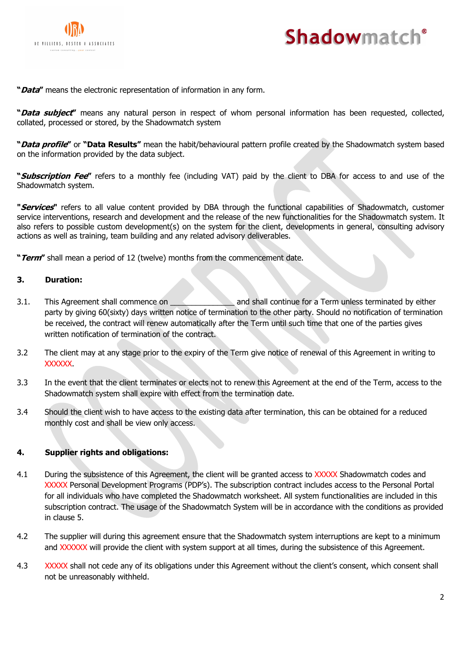



**"Data"** means the electronic representation of information in any form.

**"Data subject"** means any natural person in respect of whom personal information has been requested, collected, collated, processed or stored, by the Shadowmatch system

**"Data profile"** or **"Data Results"** mean the habit/behavioural pattern profile created by the Shadowmatch system based on the information provided by the data subject.

**"Subscription Fee"** refers to a monthly fee (including VAT) paid by the client to DBA for access to and use of the Shadowmatch system.

**"Services"** refers to all value content provided by DBA through the functional capabilities of Shadowmatch, customer service interventions, research and development and the release of the new functionalities for the Shadowmatch system. It also refers to possible custom development(s) on the system for the client, developments in general, consulting advisory actions as well as training, team building and any related advisory deliverables.

**"Term"** shall mean a period of 12 (twelve) months from the commencement date.

### **3. Duration:**

- 3.1. This Agreement shall commence on \_\_\_\_\_\_\_\_\_\_\_\_\_\_\_\_\_\_\_ and shall continue for a Term unless terminated by either party by giving 60(sixty) days written notice of termination to the other party. Should no notification of termination be received, the contract will renew automatically after the Term until such time that one of the parties gives written notification of termination of the contract.
- 3.2 The client may at any stage prior to the expiry of the Term give notice of renewal of this Agreement in writing to XXXXXX.
- 3.3 In the event that the client terminates or elects not to renew this Agreement at the end of the Term, access to the Shadowmatch system shall expire with effect from the termination date.
- 3.4 Should the client wish to have access to the existing data after termination, this can be obtained for a reduced monthly cost and shall be view only access.

### **4. Supplier rights and obligations:**

- 4.1 During the subsistence of this Agreement, the client will be granted access to XXXXX Shadowmatch codes and XXXXX Personal Development Programs (PDP's). The subscription contract includes access to the Personal Portal for all individuals who have completed the Shadowmatch worksheet. All system functionalities are included in this subscription contract. The usage of the Shadowmatch System will be in accordance with the conditions as provided in clause 5.
- 4.2 The supplier will during this agreement ensure that the Shadowmatch system interruptions are kept to a minimum and XXXXXX will provide the client with system support at all times, during the subsistence of this Agreement.
- 4.3 XXXXX shall not cede any of its obligations under this Agreement without the client's consent, which consent shall not be unreasonably withheld.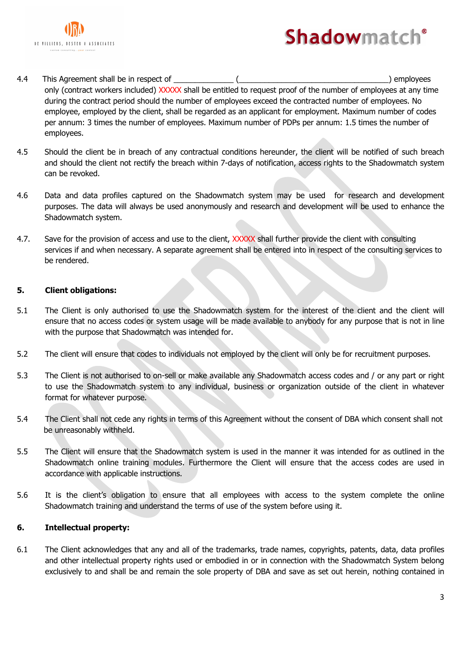



- 4.4 This Agreement shall be in respect of \_\_\_\_\_\_\_\_\_\_\_\_\_\_ (\_\_\_\_\_\_\_\_\_\_\_\_\_\_\_\_\_\_\_\_\_\_\_\_\_\_\_\_\_\_\_\_\_\_\_) employees only (contract workers included) XXXXX shall be entitled to request proof of the number of employees at any time during the contract period should the number of employees exceed the contracted number of employees. No employee, employed by the client, shall be regarded as an applicant for employment. Maximum number of codes per annum: 3 times the number of employees. Maximum number of PDPs per annum: 1.5 times the number of employees.
- 4.5 Should the client be in breach of any contractual conditions hereunder, the client will be notified of such breach and should the client not rectify the breach within 7-days of notification, access rights to the Shadowmatch system can be revoked.
- 4.6 Data and data profiles captured on the Shadowmatch system may be used for research and development purposes. The data will always be used anonymously and research and development will be used to enhance the Shadowmatch system.
- 4.7. Save for the provision of access and use to the client, XXXXX shall further provide the client with consulting services if and when necessary. A separate agreement shall be entered into in respect of the consulting services to be rendered.

# **5. Client obligations:**

- 5.1 The Client is only authorised to use the Shadowmatch system for the interest of the client and the client will ensure that no access codes or system usage will be made available to anybody for any purpose that is not in line with the purpose that Shadowmatch was intended for.
- 5.2 The client will ensure that codes to individuals not employed by the client will only be for recruitment purposes.
- 5.3 The Client is not authorised to on-sell or make available any Shadowmatch access codes and / or any part or right to use the Shadowmatch system to any individual, business or organization outside of the client in whatever format for whatever purpose.
- 5.4 The Client shall not cede any rights in terms of this Agreement without the consent of DBA which consent shall not be unreasonably withheld.
- 5.5 The Client will ensure that the Shadowmatch system is used in the manner it was intended for as outlined in the Shadowmatch online training modules. Furthermore the Client will ensure that the access codes are used in accordance with applicable instructions.
- 5.6 It is the client's obligation to ensure that all employees with access to the system complete the online Shadowmatch training and understand the terms of use of the system before using it.

### **6. Intellectual property:**

6.1 The Client acknowledges that any and all of the trademarks, trade names, copyrights, patents, data, data profiles and other intellectual property rights used or embodied in or in connection with the Shadowmatch System belong exclusively to and shall be and remain the sole property of DBA and save as set out herein, nothing contained in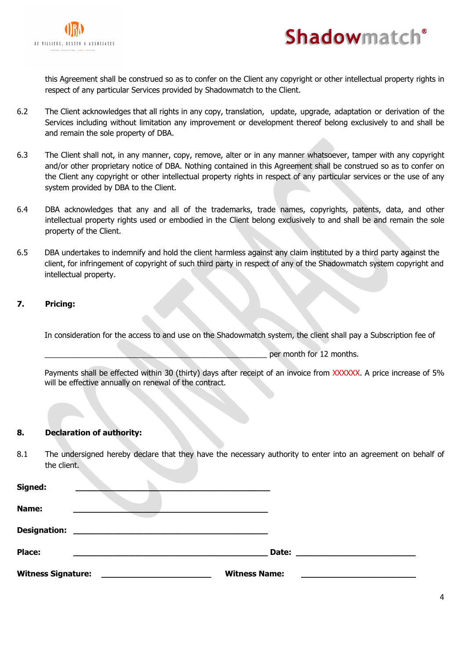



this Agreement shall be construed so as to confer on the Client any copyright or other intellectual property rights in respect of any particular Services provided by Shadowmatch to the Client.

- 6.2 The Client acknowledges that all rights in any copy, translation, update, upgrade, adaptation or derivation of the Services including without limitation any improvement or development thereof belong exclusively to and shall be and remain the sole property of DBA.
- 6.3 The Client shall not, in any manner, copy, remove, alter or in any manner whatsoever, tamper with any copyright and/or other proprietary notice of DBA. Nothing contained in this Agreement shall be construed so as to confer on the Client any copyright or other intellectual property rights in respect of any particular services or the use of any system provided by DBA to the Client.
- 6.4 DBA acknowledges that any and all of the trademarks, trade names, copyrights, patents, data, and other intellectual property rights used or embodied in the Client belong exclusively to and shall be and remain the sole property of the Client.
- 6.5 DBA undertakes to indemnify and hold the client harmless against any claim instituted by a third party against the client, for infringement of copyright of such third party in respect of any of the Shadowmatch system copyright and intellectual property.

# **7. Pricing:**

In consideration for the access to and use on the Shadowmatch system, the client shall pay a Subscription fee of

per month for 12 months.

Payments shall be effected within 30 (thirty) days after receipt of an invoice from XXXXXX. A price increase of 5% will be effective annually on renewal of the contract.

### **8. Declaration of authority:**

8.1 The undersigned hereby declare that they have the necessary authority to enter into an agreement on behalf of the client.

| Signed:                   |                                                           |                      |  |
|---------------------------|-----------------------------------------------------------|----------------------|--|
| Name:                     |                                                           |                      |  |
| <b>Designation:</b>       | <u> 1989 - John Stein, Amerikaansk politiker († 1989)</u> |                      |  |
| <b>Place:</b>             |                                                           | Date:                |  |
| <b>Witness Signature:</b> |                                                           | <b>Witness Name:</b> |  |